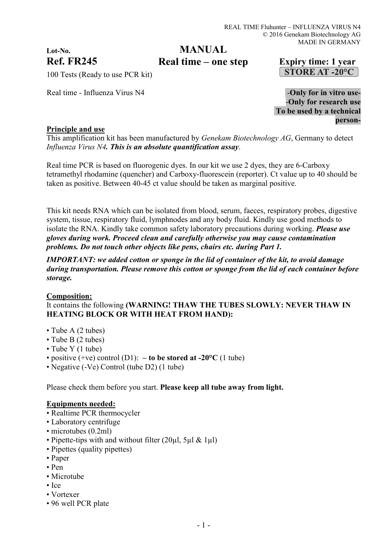# **Lot-No.**

# **MANUAL**

**Ref. FR245 Real time – one step Expiry time: 1 year** 

100 Tests (Ready to use PCR kit)

Real time - Influenza Virus N4  $\blacksquare$ 

-**Only for research use To be used by a technical person-**

### **Principle and use**

This amplification kit has been manufactured by *Genekam Biotechnology AG*, Germany to detect *Influenza Virus N4. This is an absolute quantification assay*.

Real time PCR is based on fluorogenic dyes. In our kit we use 2 dyes, they are 6-Carboxy tetramethyl rhodamine (quencher) and Carboxy-fluorescein (reporter). Ct value up to 40 should be taken as positive. Between 40-45 ct value should be taken as marginal positive.

This kit needs RNA which can be isolated from blood, serum, faeces, respiratory probes, digestive system, tissue, respiratory fluid, lymphnodes and any body fluid. Kindly use good methods to isolate the RNA. Kindly take common safety laboratory precautions during working. *Please use gloves during work. Proceed clean and carefully otherwise you may cause contamination problems. Do not touch other objects like pens, chairs etc. during Part 1.*

*IMPORTANT: we added cotton or sponge in the lid of container of the kit, to avoid damage during transportation. Please remove this cotton or sponge from the lid of each container before storage.*

#### **Composition:**

It contains the following **(WARNING! THAW THE TUBES SLOWLY: NEVER THAW IN HEATING BLOCK OR WITH HEAT FROM HAND):**

- Tube A (2 tubes)
- Tube B (2 tubes)
- Tube Y (1 tube)
- positive  $(+ve)$  control  $(D1)$ :  **to be stored at -20°C**  $(1 \text{ tube})$
- Negative (-Ve) Control (tube D2) (1 tube)

Please check them before you start. **Please keep all tube away from light.**

#### **Equipments needed:**

- Realtime PCR thermocycler
- Laboratory centrifuge
- microtubes (0.2ml)
- Pipette-tips with and without filter (20 $\mu$ l, 5 $\mu$ l & 1 $\mu$ l)
- Pipettes (quality pipettes)
- Paper
- Pen
- Microtube
- Ice
- Vortexer
- 96 well PCR plate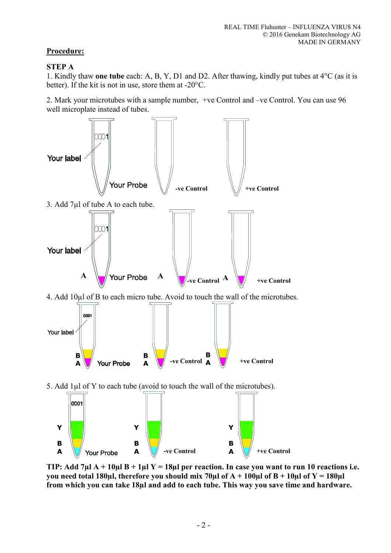# **Procedure:**

# **STEP A**

1. Kindly thaw **one tube** each: A, B, Y, D1 and D2. After thawing, kindly put tubes at 4°C (as it is better). If the kit is not in use, store them at -20°C.

2. Mark your microtubes with a sample number, +ve Control and –ve Control. You can use 96 well microplate instead of tubes.



**TIP: Add 7µl A + 10µl B + 1µl Y = 18µl per reaction. In case you want to run 10 reactions i.e.**  you need total 180 $\mu$ l, therefore you should mix 70 $\mu$ l of A + 100 $\mu$ l of B + 10 $\mu$ l of Y = 180 $\mu$ l **from which you can take 18µl and add to each tube. This way you save time and hardware.**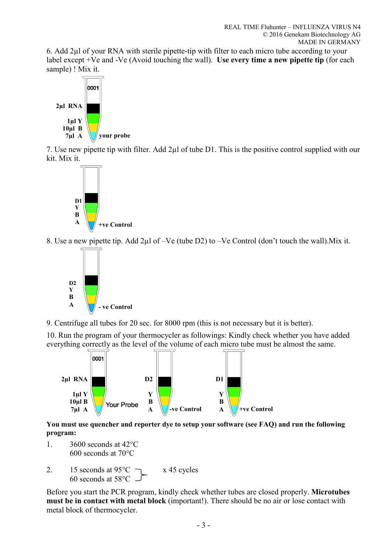6. Add 2µl of your RNA with sterile pipette-tip with filter to each micro tube according to your label except +Ve and -Ve (Avoid touching the wall). **Use every time a new pipette tip** (for each sample) ! Mix it.



7. Use new pipette tip with filter. Add 2µl of tube D1. This is the positive control supplied with our kit. Mix it.



8. Use a new pipette tip. Add 2µl of –Ve (tube D2) to –Ve Control (don't touch the wall).Mix it.



9. Centrifuge all tubes for 20 sec. for 8000 rpm (this is not necessary but it is better).

10. Run the program of your thermocycler as followings: Kindly check whether you have added everything correctly as the level of the volume of each micro tube must be almost the same.



**You must use quencher and reporter dye to setup your software (see FAQ) and run the following program:** 

- 1. 3600 seconds at 42°C 600 seconds at 70°C
- 2. 15 seconds at  $95^{\circ}$ C  $\rightarrow x$  45 cycles 60 seconds at 58°C

Before you start the PCR program, kindly check whether tubes are closed properly. **Microtubes must be in contact with metal block** (important!). There should be no air or lose contact with metal block of thermocycler.